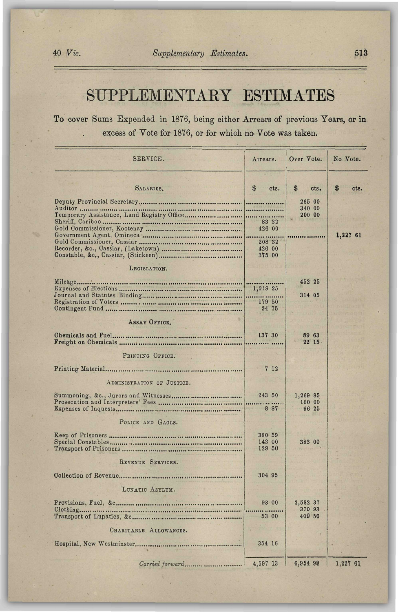## SUPPLEMENTAKY ESTIMATES

To cover Sums Expended in 1876, being either Arrears of previous Years, or in excess of Vote for 1876, or for which no Vote was taken.

| SERVICE.                             | Arrears.                                               | Over Vote.                   | No Vote.  |
|--------------------------------------|--------------------------------------------------------|------------------------------|-----------|
| SALARIES.                            | $\mathfrak{F}$<br>cts.                                 | \$<br>cts.                   | S<br>cts. |
| Auditor                              | <br>.<br>83 32<br>426 00<br>208 32<br>426 00<br>375 00 | 265 00<br>340 00<br>200 00   | 1,227 61  |
| LEGISLATION.                         |                                                        |                              |           |
| Mileage                              | 1,019 25<br>179 50<br>24 75                            | 452 25<br>314 05             |           |
| ASSAY OFFICE.                        | 137 30                                                 | 89 63<br>22 15               |           |
| PRINTING OFFICE.                     |                                                        |                              |           |
| ADMINISTRATION OF JUSTICE.           | 712                                                    |                              |           |
| Summoning, &c., Jurors and Witnesses | 243 50<br>8 8 7                                        | 1,269 85<br>160 00<br>96 25  |           |
| POLICE AND GAOLS.                    |                                                        |                              |           |
|                                      | 380 59<br>143 00<br>129 50                             | 383 00                       |           |
| REVENUE SERVICES.                    | 304 95                                                 |                              |           |
| LUNATIC ASYLUM.                      |                                                        |                              |           |
|                                      | 93 00<br>53 00                                         | 2,582 37<br>370 93<br>409 50 |           |
| CHARITABLE ALLOWANCES.               |                                                        |                              |           |
|                                      | 354 16                                                 |                              |           |
|                                      | 4,597 13                                               | 6,954 98                     | 1,227 61  |